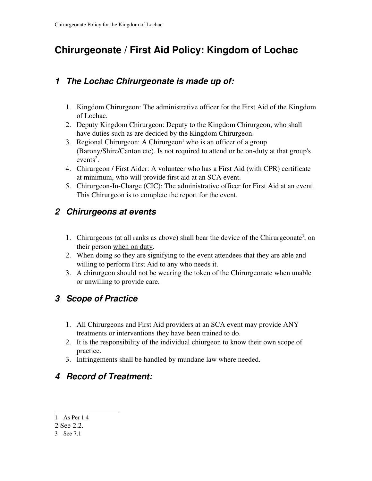# **Chirurgeonate / First Aid Policy: Kingdom of Lochac**

### *1 The Lochac Chirurgeonate is made up of:*

- 1. Kingdom Chirurgeon: The administrative officer for the First Aid of the Kingdom of Lochac.
- 2. Deputy Kingdom Chirurgeon: Deputy to the Kingdom Chirurgeon, who shall have duties such as are decided by the Kingdom Chirurgeon.
- 3. Regional Chirurgeon: A Chirurgeon<sup>[1](#page-0-0)</sup> who is an officer of a group (Barony/Shire/Canton etc). Is not required to attend or be on-duty at that group's  $events<sup>2</sup>$  $events<sup>2</sup>$  $events<sup>2</sup>$ .
- 4. Chirurgeon / First Aider: A volunteer who has a First Aid (with CPR) certificate at minimum, who will provide first aid at an SCA event.
- 5. Chirurgeon-In-Charge (CIC): The administrative officer for First Aid at an event. This Chirurgeon is to complete the report for the event.

### *2 Chirurgeons at events*

- 1. Chirurgeons (at all ranks as above) shall bear the device of the Chirurgeonate<sup>[3](#page-0-2)</sup>, on their person when on duty.
- 2. When doing so they are signifying to the event attendees that they are able and willing to perform First Aid to any who needs it.
- 3. A chirurgeon should not be wearing the token of the Chirurgeonate when unable or unwilling to provide care.

# *3 Scope of Practice*

- 1. All Chirurgeons and First Aid providers at an SCA event may provide ANY treatments or interventions they have been trained to do.
- 2. It is the responsibility of the individual chiurgeon to know their own scope of practice.
- 3. Infringements shall be handled by mundane law where needed.

### *4 Record of Treatment:*

#### <span id="page-0-0"></span>1 As Per 1.4

#### <span id="page-0-1"></span>2 See 2.2.

<span id="page-0-2"></span><sup>3</sup> See 7.1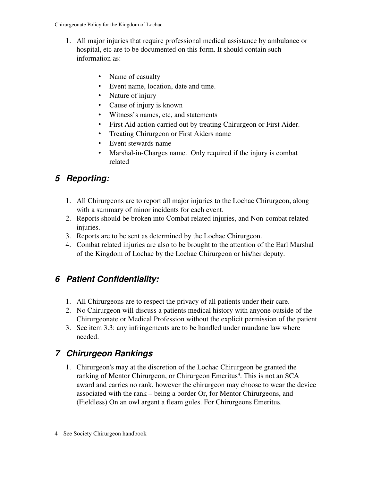- 1. All major injuries that require professional medical assistance by ambulance or hospital, etc are to be documented on this form. It should contain such information as:
	- Name of casualty
	- Event name, location, date and time.
	- Nature of injury
	- Cause of injury is known
	- Witness's names, etc, and statements
	- First Aid action carried out by treating Chirurgeon or First Aider.
	- Treating Chirurgeon or First Aiders name
	- Event stewards name
	- Marshal-in-Charges name. Only required if the injury is combat related

# *5 Reporting:*

- 1. All Chirurgeons are to report all major injuries to the Lochac Chirurgeon, along with a summary of minor incidents for each event.
- 2. Reports should be broken into Combat related injuries, and Noncombat related injuries.
- 3. Reports are to be sent as determined by the Lochac Chirurgeon.
- 4. Combat related injuries are also to be brought to the attention of the Earl Marshal of the Kingdom of Lochac by the Lochac Chirurgeon or his/her deputy.

# *6 Patient Confidentiality:*

- 1. All Chirurgeons are to respect the privacy of all patients under their care.
- 2. No Chirurgeon will discuss a patients medical history with anyone outside of the Chirurgeonate or Medical Profession without the explicit permission of the patient
- 3. See item 3.3: any infringements are to be handled under mundane law where needed.

# *7 Chirurgeon Rankings*

1. Chirurgeon's may at the discretion of the Lochac Chirurgeon be granted the ranking of Mentor Chirurgeon, or Chirurgeon Emeritus<sup>[4](#page-1-0)</sup>. This is not an SCA award and carries no rank, however the chirurgeon may choose to wear the device associated with the rank – being a border Or, for Mentor Chirurgeons, and (Fieldless) On an owl argent a fleam gules. For Chirurgeons Emeritus.

<span id="page-1-0"></span><sup>4</sup> See Society Chirurgeon handbook